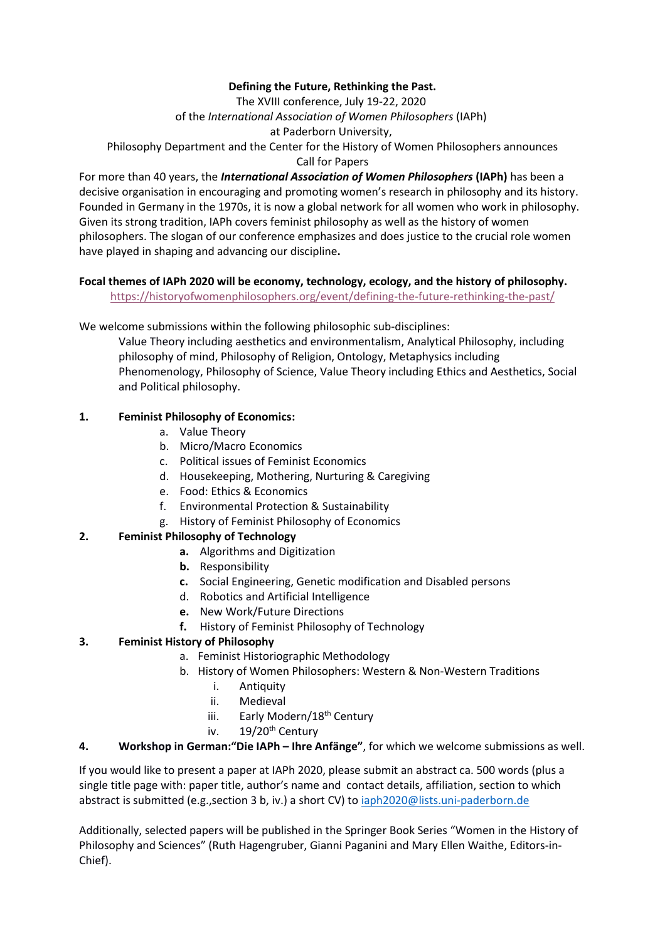### **Defining the Future, Rethinking the Past.**

The XVIII conference, July 19-22, 2020

of the *International Association of Women Philosophers* (IAPh)

at Paderborn University,

Philosophy Department and the Center for the History of Women Philosophers announces Call for Papers

For more than 40 years, the *International Association of Women Philosophers* **(IAPh)** has been a decisive organisation in encouraging and promoting women's research in philosophy and its history. Founded in Germany in the 1970s, it is now a global network for all women who work in philosophy. Given its strong tradition, IAPh covers feminist philosophy as well as the history of women philosophers. The slogan of our conference emphasizes and does justice to the crucial role women have played in shaping and advancing our discipline**.**

### **Focal themes of IAPh 2020 will be economy, technology, ecology, and the history of philosophy.**

<https://historyofwomenphilosophers.org/event/defining-the-future-rethinking-the-past/>

We welcome submissions within the following philosophic sub-disciplines:

Value Theory including aesthetics and environmentalism, Analytical Philosophy, including philosophy of mind, Philosophy of Religion, Ontology, Metaphysics including Phenomenology, Philosophy of Science, Value Theory including Ethics and Aesthetics, Social and Political philosophy.

# **1. Feminist Philosophy of Economics:**

- a. Value Theory
- b. Micro/Macro Economics
- c. Political issues of Feminist Economics
- d. Housekeeping, Mothering, Nurturing & Caregiving
- e. Food: Ethics & Economics
- f. Environmental Protection & Sustainability
- g. History of Feminist Philosophy of Economics

# **2. Feminist Philosophy of Technology**

- **a.** Algorithms and Digitization
- **b.** Responsibility
- **c.** Social Engineering, Genetic modification and Disabled persons
- d. Robotics and Artificial Intelligence
- **e.** New Work/Future Directions
- **f.** History of Feminist Philosophy of Technology

# **3. Feminist History of Philosophy**

- a. Feminist Historiographic Methodology
- b. History of Women Philosophers: Western & Non-Western Traditions
	- i. Antiquity
	- ii. Medieval
	- iii. Early Modern/18<sup>th</sup> Century
	- iv.  $19/20^{th}$  Century

### **4. Workshop in German:"Die IAPh – Ihre Anfänge"**, for which we welcome submissions as well.

If you would like to present a paper at IAPh 2020, please submit an abstract ca. 500 words (plus a single title page with: paper title, author's name and contact details, affiliation, section to which abstract is submitted (e.g.,section 3 b, iv.) a short CV) to [iaph2020@lists.uni-paderborn.de](mailto:iaph2020@lists.uni-paderborn.de)

Additionally, selected papers will be published in the Springer Book Series "Women in the History of Philosophy and Sciences" (Ruth Hagengruber, Gianni Paganini and Mary Ellen Waithe, Editors-in-Chief).